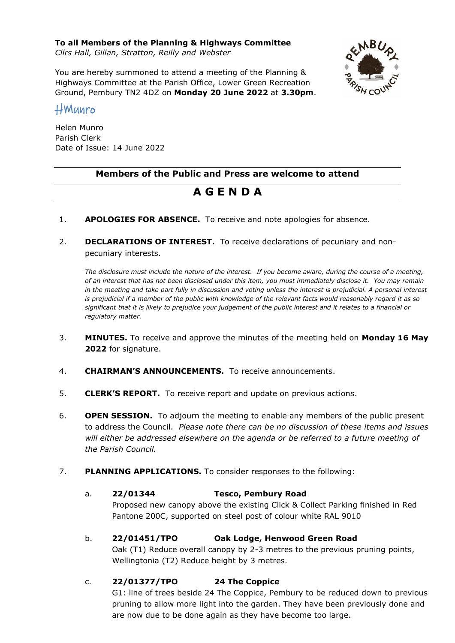**To all Members of the Planning & Highways Committee**

*Cllrs Hall, Gillan, Stratton, Reilly and Webster*

You are hereby summoned to attend a meeting of the Planning & Highways Committee at the Parish Office, Lower Green Recreation Ground, Pembury TN2 4DZ on **Monday 20 June 2022** at **3.30pm**.



# HMunro

Helen Munro Parish Clerk Date of Issue: 14 June 2022

# **Members of the Public and Press are welcome to attend**

# **A G E N D A**

- 1. **APOLOGIES FOR ABSENCE.** To receive and note apologies for absence.
- 2. **DECLARATIONS OF INTEREST.** To receive declarations of pecuniary and nonpecuniary interests.

*The disclosure must include the nature of the interest. If you become aware, during the course of a meeting, of an interest that has not been disclosed under this item, you must immediately disclose it. You may remain in the meeting and take part fully in discussion and voting unless the interest is prejudicial. A personal interest is prejudicial if a member of the public with knowledge of the relevant facts would reasonably regard it as so significant that it is likely to prejudice your judgement of the public interest and it relates to a financial or regulatory matter.*

- 3. **MINUTES.** To receive and approve the minutes of the meeting held on **Monday 16 May 2022** for signature.
- 4. **CHAIRMAN'S ANNOUNCEMENTS.** To receive announcements.
- 5. **CLERK'S REPORT.** To receive report and update on previous actions.
- 6. **OPEN SESSION.** To adjourn the meeting to enable any members of the public present to address the Council. *Please note there can be no discussion of these items and issues will either be addressed elsewhere on the agenda or be referred to a future meeting of the Parish Council.*
- 7. **PLANNING APPLICATIONS.** To consider responses to the following:

### a. **22/01344 Tesco, Pembury Road**

Proposed new canopy above the existing Click & Collect Parking finished in Red Pantone 200C, supported on steel post of colour white RAL 9010

b. **22/01451/TPO Oak Lodge, Henwood Green Road**

Oak (T1) Reduce overall canopy by 2-3 metres to the previous pruning points, Wellingtonia (T2) Reduce height by 3 metres.

### c. **22/01377/TPO 24 The Coppice**

G1: line of trees beside 24 The Coppice, Pembury to be reduced down to previous pruning to allow more light into the garden. They have been previously done and are now due to be done again as they have become too large.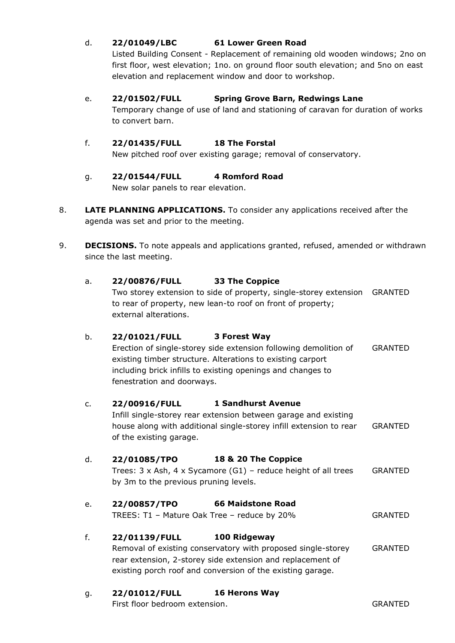### d. **22/01049/LBC 61 Lower Green Road**

Listed Building Consent - Replacement of remaining old wooden windows; 2no on first floor, west elevation; 1no. on ground floor south elevation; and 5no on east elevation and replacement window and door to workshop.

#### e. **22/01502/FULL Spring Grove Barn, Redwings Lane**

Temporary change of use of land and stationing of caravan for duration of works to convert barn.

#### f. **22/01435/FULL 18 The Forstal**

New pitched roof over existing garage; removal of conservatory.

# g. **22/01544/FULL 4 Romford Road**

New solar panels to rear elevation.

- 8. **LATE PLANNING APPLICATIONS.** To consider any applications received after the agenda was set and prior to the meeting.
- 9. **DECISIONS.** To note appeals and applications granted, refused, amended or withdrawn since the last meeting.

#### a. **22/00876/FULL 33 The Coppice**

Two storey extension to side of property, single-storey extension GRANTED to rear of property, new lean-to roof on front of property; external alterations.

### b. **22/01021/FULL 3 Forest Way**

Erection of single-storey side extension following demolition of existing timber structure. Alterations to existing carport including brick infills to existing openings and changes to fenestration and doorways. GRANTED

#### c. **22/00916/FULL 1 Sandhurst Avenue**

Infill single-storey rear extension between garage and existing house along with additional single-storey infill extension to rear of the existing garage. GRANTED

### d. **22/01085/TPO 18 & 20 The Coppice**

Trees: 3 x Ash, 4 x Sycamore (G1) – reduce height of all trees by 3m to the previous pruning levels. GRANTED

### e. **22/00857/TPO 66 Maidstone Road**

TREES: T1 – Mature Oak Tree – reduce by 20% GRANTED

### f. **22/01139/FULL 100 Ridgeway**

Removal of existing conservatory with proposed single-storey rear extension, 2-storey side extension and replacement of existing porch roof and conversion of the existing garage. GRANTED

### g. **22/01012/FULL 16 Herons Way**

First floor bedroom extension. GRANTED